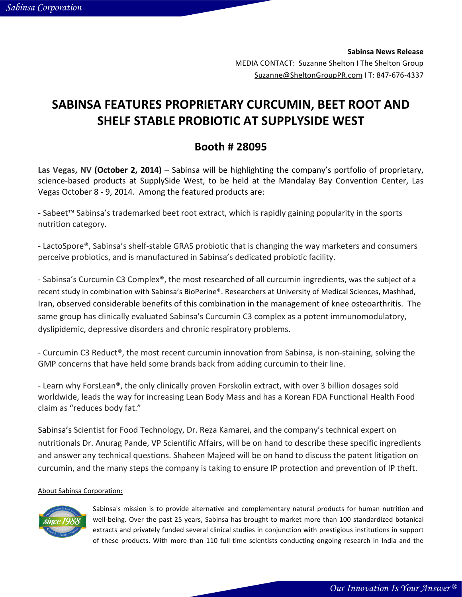**Sabinsa'News'Release** MEDIA CONTACT: Suzanne Shelton I The Shelton Group Suzanne@SheltonGroupPR.com I T: 847-676-4337

## SABINSA FEATURES PROPRIETARY CURCUMIN, BEET ROOT AND SHELF STABLE PROBIOTIC AT SUPPLYSIDE WEST

## **Booth'#'28095'**

Las Vegas, NV (October 2, 2014) – Sabinsa will be highlighting the company's portfolio of proprietary, science-based products at SupplySide West, to be held at the Mandalay Bay Convention Center, Las Vegas October 8 - 9, 2014. Among the featured products are:

- Sabeet™ Sabinsa's trademarked beet root extract, which is rapidly gaining popularity in the sports nutrition category.

- LactoSpore®, Sabinsa's shelf-stable GRAS probiotic that is changing the way marketers and consumers perceive probiotics, and is manufactured in Sabinsa's dedicated probiotic facility.

- Sabinsa's Curcumin C3 Complex®, the most researched of all curcumin ingredients, was the subject of a recent study in combination with Sabinsa's BioPerine®. Researchers at University of Medical Sciences, Mashhad, Iran, observed considerable benefits of this combination in the management of knee osteoarthritis. The same group has clinically evaluated Sabinsa's Curcumin C3 complex as a potent immunomodulatory, dyslipidemic, depressive disorders and chronic respiratory problems.

- Curcumin C3 Reduct®, the most recent curcumin innovation from Sabinsa, is non-staining, solving the GMP concerns that have held some brands back from adding curcumin to their line.

- Learn why ForsLean®, the only clinically proven Forskolin extract, with over 3 billion dosages sold worldwide, leads the way for increasing Lean Body Mass and has a Korean FDA Functional Health Food claim as "reduces body fat."

Sabinsa's Scientist for Food Technology, Dr. Reza Kamarei, and the company's technical expert on nutritionals Dr. Anurag Pande, VP Scientific Affairs, will be on hand to describe these specific ingredients and answer any technical questions. Shaheen Majeed will be on hand to discuss the patent litigation on curcumin, and the many steps the company is taking to ensure IP protection and prevention of IP theft.

## About Sabinsa Corporation:



Sabinsa's mission is to provide alternative and complementary natural products for human nutrition and well-being. Over the past 25 years, Sabinsa has brought to market more than 100 standardized botanical extracts and privately funded several clinical studies in conjunction with prestigious institutions in support of these products. With more than 110 full time scientists conducting ongoing research in India and the